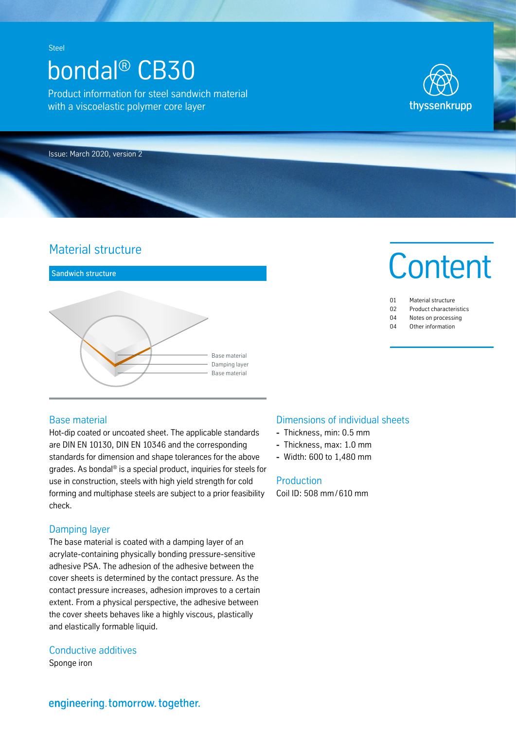**Steel** 

# bondal® CB30

Product information for steel sandwich material with a viscoelastic polymer core layer



Issue: March 2020, version 2

# Material structure



## Base material

Hot-dip coated or uncoated sheet. The applicable standards are DIN EN 10130, DIN EN 10346 and the corresponding standards for dimension and shape tolerances for the above grades. As bondal® is a special product, inquiries for steels for use in construction, steels with high yield strength for cold forming and multiphase steels are subject to a prior feasibility check.

## Damping layer

The base material is coated with a damping layer of an acrylate-containing physically bonding pressure-sensitive adhesive PSA. The adhesion of the adhesive between the cover sheets is determined by the contact pressure. As the contact pressure increases, adhesion improves to a certain extent. From a physical perspective, the adhesive between the cover sheets behaves like a highly viscous, plastically and elastically formable liquid.

## Conductive additives

engineering.tomorrow.together.

Sponge iron

## Dimensions of individual sheets

- **-** Thickness, min: 0.5 mm
- **-** Thickness, max: 1.0 mm
- **-** Width: 600 to 1,480 mm

## **Production**

Coil ID: 508 mm/ 610 mm



| 01 | Material structure      |
|----|-------------------------|
| 02 | Product characteristics |

- 04 Notes on processing
- 04 Other information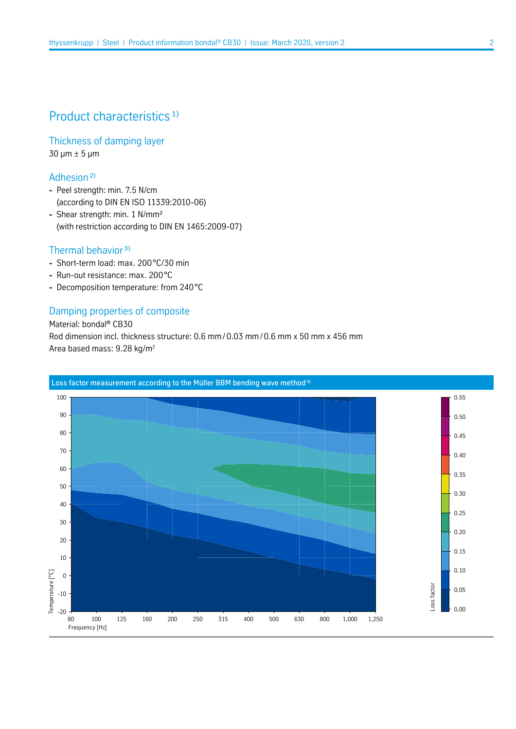# Product characteristics<sup>1)</sup>

Thickness of damping layer 30 µm ± 5 µm

Adhesion<sup>2)</sup>

- **-** Peel strength: min. 7.5 N/cm (according to DIN EN ISO 11339:2010-06)
- **-** Shear strength: min. 1 N/mm² (with restriction according to DIN EN 1465:2009-07)

## Thermal behavior<sup>3)</sup>

- **-** Short-term load: max. 200°C/30 min
- **-** Run-out resistance: max. 200°C
- **-** Decomposition temperature: from 240°C

### Damping properties of composite

Material: bondal® CB30 Rod dimension incl. thickness structure: 0.6 mm/0.03 mm/ 0.6 mm x 50 mm x 456 mm Area based mass: 9.28 kg/m2

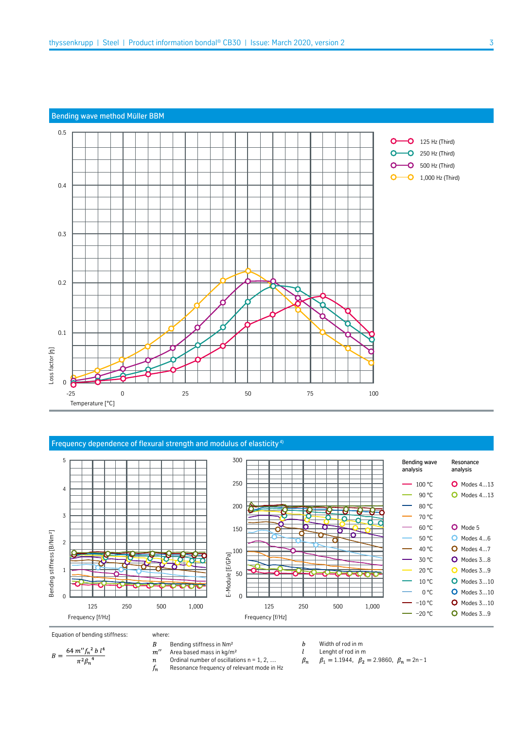#### Bending wave method Müller BBM



#### Frequency dependence of flexural strength and modulus of elasticity 4)



where:

- Equation of bending stiffness: where:<br>  $B = \frac{64 \ m'' f_n{}^2 b l^4}{\pi^2 \beta_n{}^4}$   $B = \frac{64 \ m'' f_n{}^2 b l^4}{n}$   $B = \frac{64 \ m'' f_n{}^2 b l^4}{n}$   $B = \frac{64 \ m'' f_n{}^2 b l^4}{n}$ 
	- - Area based mass in kg/m²

 $\boldsymbol{n}$ Ordinal number of oscillations  $n = 1, 2, ...$ 

- $f_n$ Resonance frequency of relevant mode in Hz
- $\boldsymbol{b}$ Width of rod in m  $l$
- Lenght of rod in m  $\beta_n$

 $\beta_1 = 1.1944$ ,  $\beta_2 = 2.9860$ ,  $\beta_n = 2n-1$